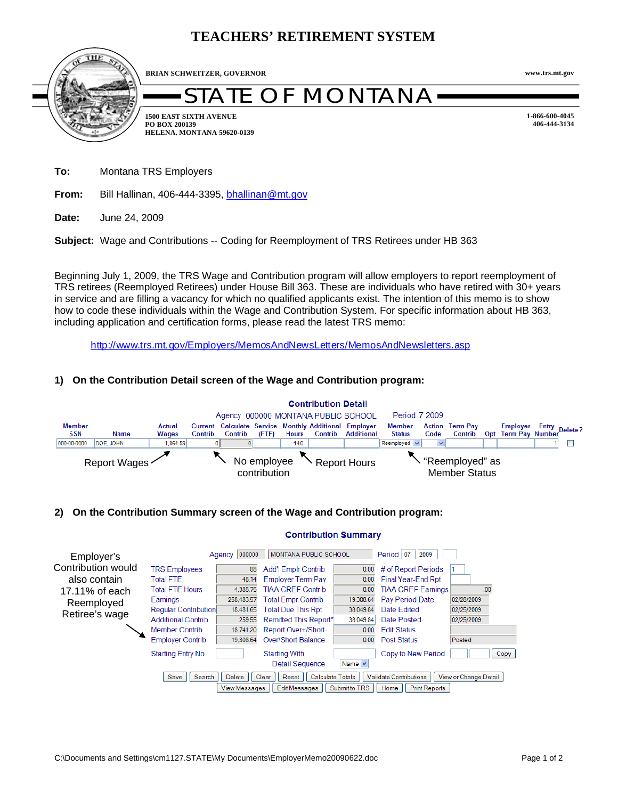# **TEACHERS' RETIREMENT SYSTEM**



**BRIAN SCHWEITZER, GOVERNOR**

# )F MONTANA

**1-866-600-4045**

**www.trs.mt.gov**

**1500 EAST SIXTH AVENUE PO BOX 200139 HELENA, MONTANA 59620-0139** **406-444-3134**

**To:** Montana TRS Employers

**From:** Bill Hallinan, 406-444-3395, bhallinan@mt.gov

**Date:** June 24, 2009

**Subject:** Wage and Contributions -- Coding for Reemployment of TRS Retirees under HB 363

Beginning July 1, 2009, the TRS Wage and Contribution program will allow employers to report reemployment of TRS retirees (Reemployed Retirees) under House Bill 363. These are individuals who have retired with 30+ years in service and are filling a vacancy for which no qualified applicants exist. The intention of this memo is to show how to code these individuals within the Wage and Contribution System. For specific information about HB 363, including application and certification forms, please read the latest TRS memo:

http://www.trs.mt.gov/Employers/MemosAndNewsLetters/MemosAndNewsletters.asp

# **1) On the Contribution Detail screen of the Wage and Contribution program:**



## **2) On the Contribution Summary screen of the Wage and Contribution program:**

#### **Contribution Summary**